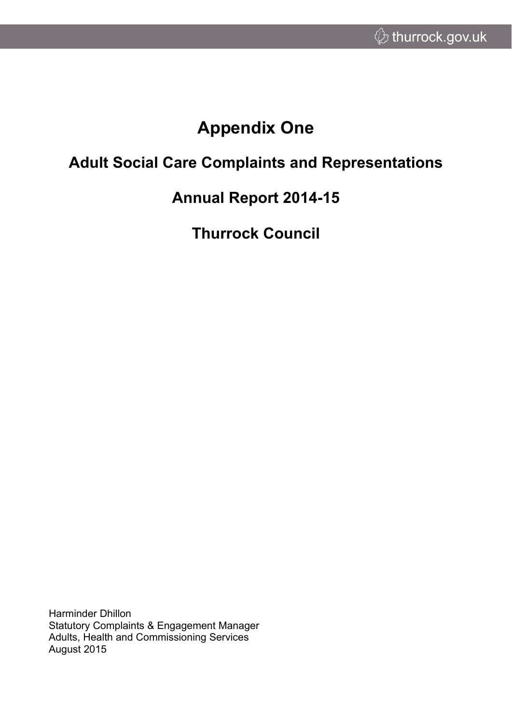# **Appendix One**

# **Adult Social Care Complaints and Representations**

# **Annual Report 2014-15**

**Thurrock Council**

Harminder Dhillon Statutory Complaints & Engagement Manager Adults, Health and Commissioning Services August 2015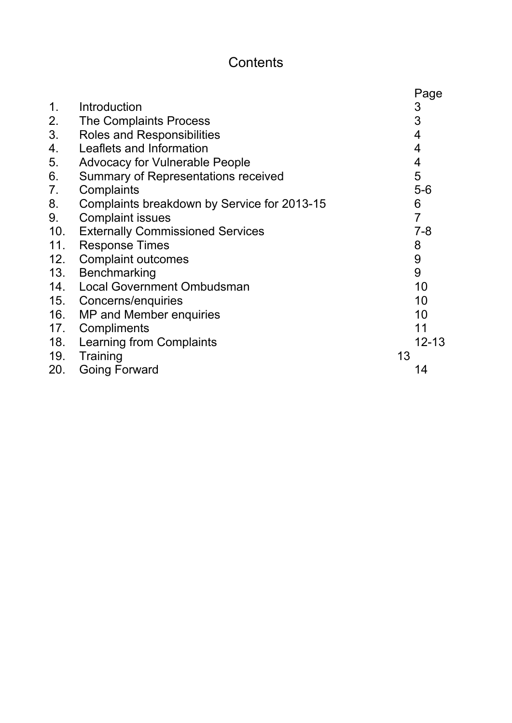# **Contents**

|                |                                             | Page           |
|----------------|---------------------------------------------|----------------|
| 1 <sub>1</sub> | Introduction                                | 3              |
| 2.             | The Complaints Process                      | 3              |
| 3.             | <b>Roles and Responsibilities</b>           | 4              |
| 4.             | Leaflets and Information                    | 4              |
| 5.             | <b>Advocacy for Vulnerable People</b>       | 4              |
| 6.             | Summary of Representations received         | 5              |
| 7.             | Complaints                                  | $5-6$          |
| 8.             | Complaints breakdown by Service for 2013-15 | 6              |
| 9.             | <b>Complaint issues</b>                     | $\overline{7}$ |
| 10.            | <b>Externally Commissioned Services</b>     | $7 - 8$        |
| 11.            | <b>Response Times</b>                       | 8              |
| 12.            | <b>Complaint outcomes</b>                   | 9              |
| 13.            | Benchmarking                                | 9              |
| 14.            | <b>Local Government Ombudsman</b>           | 10             |
| 15.            | Concerns/enquiries                          | 10             |
| 16.            | MP and Member enquiries                     | 10             |
| 17.            | Compliments                                 | 11             |
| 18.            | Learning from Complaints                    | $12 - 13$      |
| 19.            | Training                                    | 13             |
| 20.            | <b>Going Forward</b>                        | 14             |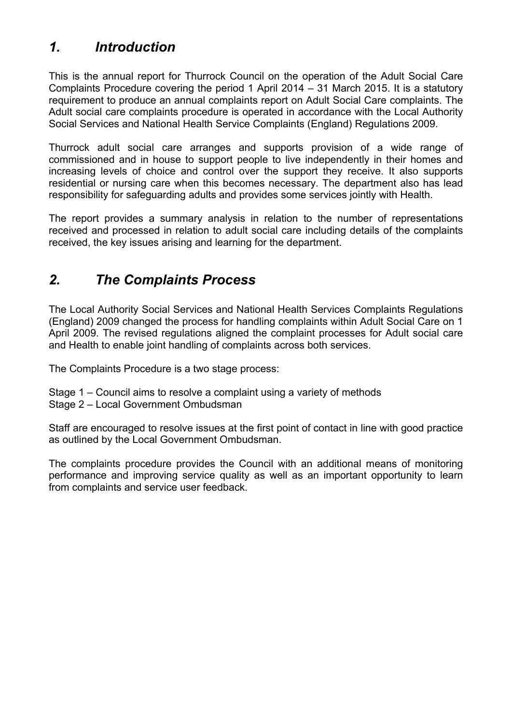## *1. Introduction*

This is the annual report for Thurrock Council on the operation of the Adult Social Care Complaints Procedure covering the period 1 April 2014 – 31 March 2015. It is a statutory requirement to produce an annual complaints report on Adult Social Care complaints. The Adult social care complaints procedure is operated in accordance with the Local Authority Social Services and National Health Service Complaints (England) Regulations 2009.

Thurrock adult social care arranges and supports provision of a wide range of commissioned and in house to support people to live independently in their homes and increasing levels of choice and control over the support they receive. It also supports residential or nursing care when this becomes necessary. The department also has lead responsibility for safeguarding adults and provides some services jointly with Health.

The report provides a summary analysis in relation to the number of representations received and processed in relation to adult social care including details of the complaints received, the key issues arising and learning for the department.

### *2. The Complaints Process*

The Local Authority Social Services and National Health Services Complaints Regulations (England) 2009 changed the process for handling complaints within Adult Social Care on 1 April 2009. The revised regulations aligned the complaint processes for Adult social care and Health to enable joint handling of complaints across both services.

The Complaints Procedure is a two stage process:

- Stage 1 Council aims to resolve a complaint using a variety of methods
- Stage 2 Local Government Ombudsman

Staff are encouraged to resolve issues at the first point of contact in line with good practice as outlined by the Local Government Ombudsman.

The complaints procedure provides the Council with an additional means of monitoring performance and improving service quality as well as an important opportunity to learn from complaints and service user feedback.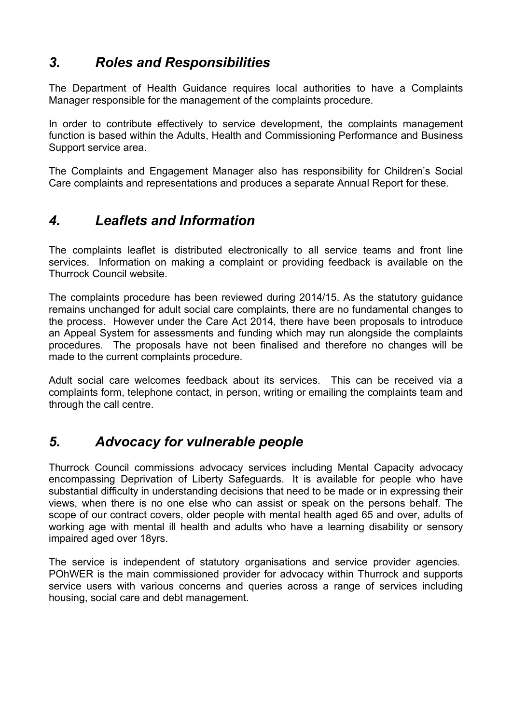## *3. Roles and Responsibilities*

The Department of Health Guidance requires local authorities to have a Complaints Manager responsible for the management of the complaints procedure.

In order to contribute effectively to service development, the complaints management function is based within the Adults, Health and Commissioning Performance and Business Support service area.

The Complaints and Engagement Manager also has responsibility for Children's Social Care complaints and representations and produces a separate Annual Report for these.

### *4. Leaflets and Information*

The complaints leaflet is distributed electronically to all service teams and front line services. Information on making a complaint or providing feedback is available on the Thurrock Council website.

The complaints procedure has been reviewed during 2014/15. As the statutory guidance remains unchanged for adult social care complaints, there are no fundamental changes to the process. However under the Care Act 2014, there have been proposals to introduce an Appeal System for assessments and funding which may run alongside the complaints procedures. The proposals have not been finalised and therefore no changes will be made to the current complaints procedure.

Adult social care welcomes feedback about its services. This can be received via a complaints form, telephone contact, in person, writing or emailing the complaints team and through the call centre.

### *5. Advocacy for vulnerable people*

Thurrock Council commissions advocacy services including Mental Capacity advocacy encompassing Deprivation of Liberty Safeguards. It is available for people who have substantial difficulty in understanding decisions that need to be made or in expressing their views, when there is no one else who can assist or speak on the persons behalf. The scope of our contract covers, older people with mental health aged 65 and over, adults of working age with mental ill health and adults who have a learning disability or sensory impaired aged over 18yrs.

The service is independent of statutory organisations and service provider agencies. POhWER is the main commissioned provider for advocacy within Thurrock and supports service users with various concerns and queries across a range of services including housing, social care and debt management.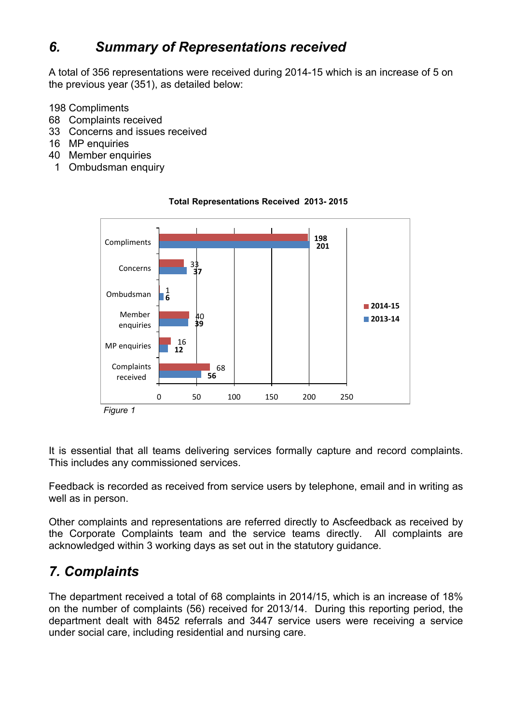# *6. Summary of Representations received*

A total of 356 representations were received during 2014-15 which is an increase of 5 on the previous year (351), as detailed below:

198 Compliments

- 68 Complaints received
- 33 Concerns and issues received
- 16 MP enquiries
- 40 Member enquiries
	- 1 Ombudsman enquiry



#### **Total Representations Received 2013- 2015**

It is essential that all teams delivering services formally capture and record complaints. This includes any commissioned services.

Feedback is recorded as received from service users by telephone, email and in writing as well as in person.

Other complaints and representations are referred directly to Ascfeedback as received by the Corporate Complaints team and the service teams directly. All complaints are acknowledged within 3 working days as set out in the statutory guidance.

# *7. Complaints*

The department received a total of 68 complaints in 2014/15, which is an increase of 18% on the number of complaints (56) received for 2013/14. During this reporting period, the department dealt with 8452 referrals and 3447 service users were receiving a service under social care, including residential and nursing care.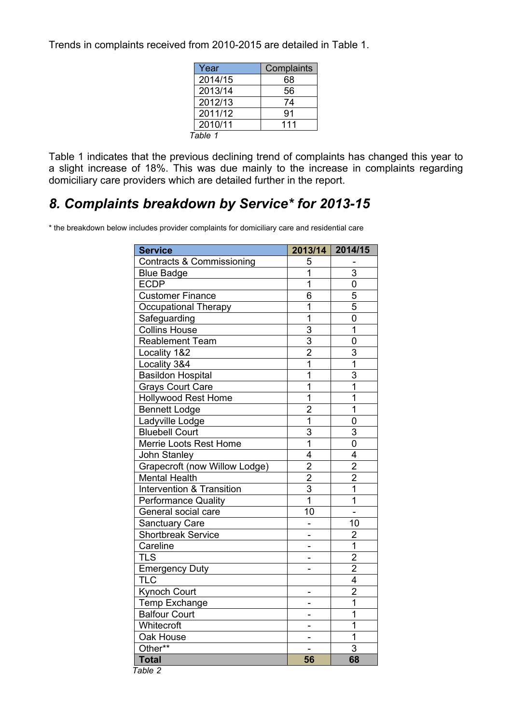Trends in complaints received from 2010-2015 are detailed in Table 1.

| Year    | Complaints |  |  |
|---------|------------|--|--|
| 2014/15 | 68         |  |  |
| 2013/14 | 56         |  |  |
| 2012/13 | 74         |  |  |
| 2011/12 | 91         |  |  |
| 2010/11 | 111        |  |  |
| Table 1 |            |  |  |

Table 1 indicates that the previous declining trend of complaints has changed this year to a slight increase of 18%. This was due mainly to the increase in complaints regarding domiciliary care providers which are detailed further in the report.

### *8. Complaints breakdown by Service\* for 2013-15*

\* the breakdown below includes provider complaints for domiciliary care and residential care

| Contracts & Commissioning<br><b>Blue Badge</b><br><b>ECDP</b><br><b>Customer Finance</b><br>Occupational Therapy<br>Safeguarding<br><b>Collins House</b> | 5<br>1<br>1<br>6<br>1   | 3<br>0<br>5             |
|----------------------------------------------------------------------------------------------------------------------------------------------------------|-------------------------|-------------------------|
|                                                                                                                                                          |                         |                         |
|                                                                                                                                                          |                         |                         |
|                                                                                                                                                          |                         |                         |
|                                                                                                                                                          |                         |                         |
|                                                                                                                                                          |                         | 5                       |
|                                                                                                                                                          | 1                       | 0                       |
|                                                                                                                                                          | 3                       | 1                       |
| <b>Reablement Team</b>                                                                                                                                   | $\overline{3}$          | 0                       |
| Locality 1&2                                                                                                                                             | $\overline{2}$          | 3                       |
| Locality 3&4                                                                                                                                             | $\overline{1}$          | $\overline{1}$          |
| Basildon Hospital                                                                                                                                        | 1                       | 3                       |
| <b>Grays Court Care</b>                                                                                                                                  | 1                       | $\overline{1}$          |
| <b>Hollywood Rest Home</b>                                                                                                                               | $\overline{1}$          | $\overline{1}$          |
| <b>Bennett Lodge</b>                                                                                                                                     | $\overline{2}$          | $\overline{1}$          |
| Ladyville Lodge                                                                                                                                          | $\overline{1}$          | 0                       |
| <b>Bluebell Court</b>                                                                                                                                    | 3                       | 3                       |
| Merrie Loots Rest Home                                                                                                                                   | $\overline{\mathbf{1}}$ | $\overline{0}$          |
| John Stanley                                                                                                                                             | $\overline{4}$          | $\overline{4}$          |
| Grapecroft (now Willow Lodge)                                                                                                                            | $\overline{2}$          | $\overline{2}$          |
| <b>Mental Health</b>                                                                                                                                     | $\overline{2}$          | $\overline{2}$          |
| <b>Intervention &amp; Transition</b>                                                                                                                     | $\overline{3}$          | $\overline{1}$          |
| <b>Performance Quality</b>                                                                                                                               | $\overline{1}$          | 1                       |
| General social care                                                                                                                                      | 10                      |                         |
| <b>Sanctuary Care</b>                                                                                                                                    |                         | 10                      |
| <b>Shortbreak Service</b>                                                                                                                                |                         | $\overline{2}$          |
| Careline                                                                                                                                                 |                         | $\overline{1}$          |
| <b>TLS</b>                                                                                                                                               |                         | $\overline{2}$          |
| <b>Emergency Duty</b>                                                                                                                                    |                         | $\overline{2}$          |
| <b>TLC</b>                                                                                                                                               |                         | $\overline{\mathbf{4}}$ |
| <b>Kynoch Court</b>                                                                                                                                      |                         | $\overline{2}$          |
| Temp Exchange                                                                                                                                            |                         | $\overline{1}$          |
| <b>Balfour Court</b>                                                                                                                                     |                         | 1                       |
| Whitecroft                                                                                                                                               |                         | 1                       |
| Oak House                                                                                                                                                |                         | $\overline{1}$          |
| Other**                                                                                                                                                  |                         | 3                       |
| <b>Total</b><br>Table 2                                                                                                                                  | 56                      | 68                      |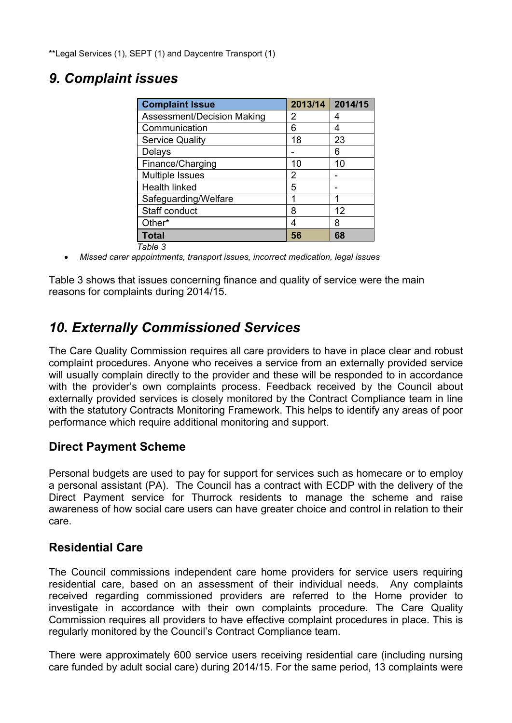\*\*Legal Services (1), SEPT (1) and Daycentre Transport (1)

### *9. Complaint issues*

| <b>Complaint Issue</b>     | 2013/14 | 2014/15 |
|----------------------------|---------|---------|
| Assessment/Decision Making | 2       | 4       |
| Communication              | 6       | 4       |
| <b>Service Quality</b>     | 18      | 23      |
| Delays                     |         | 6       |
| Finance/Charging           | 10      | 10      |
| Multiple Issues            | 2       |         |
| Health linked              | 5       |         |
| Safeguarding/Welfare       |         |         |
| Staff conduct              | 8       | 12      |
| Other*                     | 4       | 8       |
| <b>Total</b>               | 56      | 68      |
| Table 3                    |         |         |

*Missed carer appointments, transport issues, incorrect medication, legal issues*

Table 3 shows that issues concerning finance and quality of service were the main reasons for complaints during 2014/15.

# *10. Externally Commissioned Services*

The Care Quality Commission requires all care providers to have in place clear and robust complaint procedures. Anyone who receives a service from an externally provided service will usually complain directly to the provider and these will be responded to in accordance with the provider's own complaints process. Feedback received by the Council about externally provided services is closely monitored by the Contract Compliance team in line with the statutory Contracts Monitoring Framework. This helps to identify any areas of poor performance which require additional monitoring and support.

#### **Direct Payment Scheme**

Personal budgets are used to pay for support for services such as homecare or to employ a personal assistant (PA). The Council has a contract with ECDP with the delivery of the Direct Payment service for Thurrock residents to manage the scheme and raise awareness of how social care users can have greater choice and control in relation to their care.

#### **Residential Care**

The Council commissions independent care home providers for service users requiring residential care, based on an assessment of their individual needs. Any complaints received regarding commissioned providers are referred to the Home provider to investigate in accordance with their own complaints procedure. The Care Quality Commission requires all providers to have effective complaint procedures in place. This is regularly monitored by the Council's Contract Compliance team.

There were approximately 600 service users receiving residential care (including nursing care funded by adult social care) during 2014/15. For the same period, 13 complaints were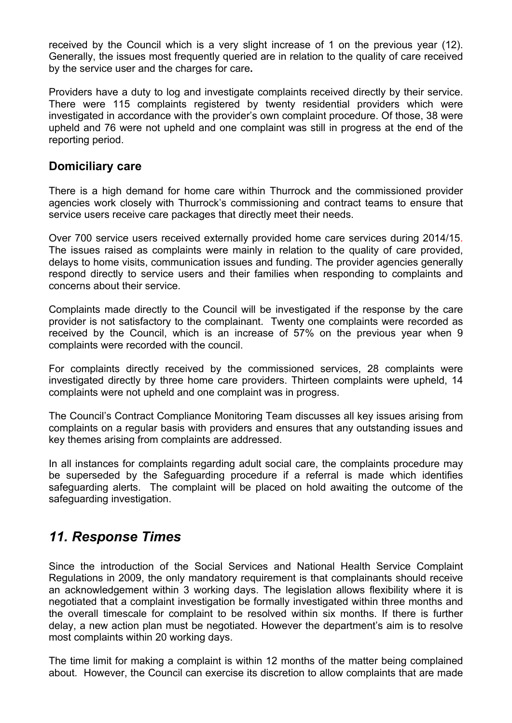received by the Council which is a very slight increase of 1 on the previous year (12). Generally, the issues most frequently queried are in relation to the quality of care received by the service user and the charges for care**.**

Providers have a duty to log and investigate complaints received directly by their service. There were 115 complaints registered by twenty residential providers which were investigated in accordance with the provider's own complaint procedure. Of those, 38 were upheld and 76 were not upheld and one complaint was still in progress at the end of the reporting period.

#### **Domiciliary care**

There is a high demand for home care within Thurrock and the commissioned provider agencies work closely with Thurrock's commissioning and contract teams to ensure that service users receive care packages that directly meet their needs.

Over 700 service users received externally provided home care services during 2014/15. The issues raised as complaints were mainly in relation to the quality of care provided, delays to home visits, communication issues and funding. The provider agencies generally respond directly to service users and their families when responding to complaints and concerns about their service.

Complaints made directly to the Council will be investigated if the response by the care provider is not satisfactory to the complainant. Twenty one complaints were recorded as received by the Council, which is an increase of 57% on the previous year when 9 complaints were recorded with the council.

For complaints directly received by the commissioned services, 28 complaints were investigated directly by three home care providers. Thirteen complaints were upheld, 14 complaints were not upheld and one complaint was in progress.

The Council's Contract Compliance Monitoring Team discusses all key issues arising from complaints on a regular basis with providers and ensures that any outstanding issues and key themes arising from complaints are addressed.

In all instances for complaints regarding adult social care, the complaints procedure may be superseded by the Safeguarding procedure if a referral is made which identifies safeguarding alerts. The complaint will be placed on hold awaiting the outcome of the safeguarding investigation.

### *11. Response Times*

Since the introduction of the Social Services and National Health Service Complaint Regulations in 2009, the only mandatory requirement is that complainants should receive an acknowledgement within 3 working days. The legislation allows flexibility where it is negotiated that a complaint investigation be formally investigated within three months and the overall timescale for complaint to be resolved within six months. If there is further delay, a new action plan must be negotiated. However the department's aim is to resolve most complaints within 20 working days.

The time limit for making a complaint is within 12 months of the matter being complained about. However, the Council can exercise its discretion to allow complaints that are made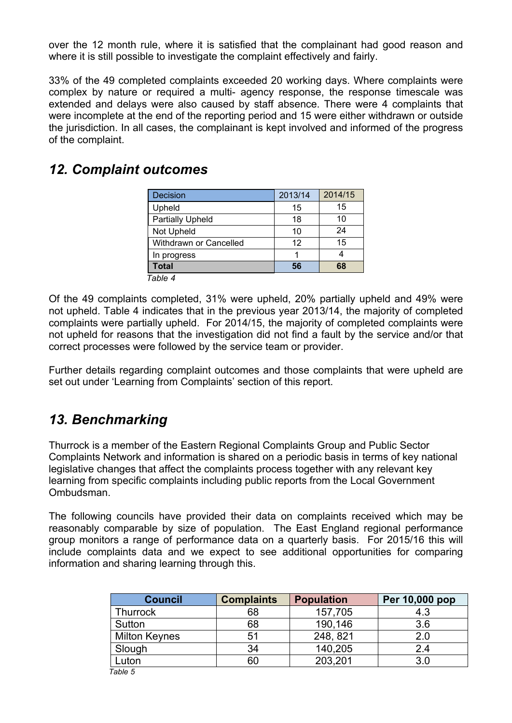over the 12 month rule, where it is satisfied that the complainant had good reason and where it is still possible to investigate the complaint effectively and fairly.

33% of the 49 completed complaints exceeded 20 working days. Where complaints were complex by nature or required a multi- agency response, the response timescale was extended and delays were also caused by staff absence. There were 4 complaints that were incomplete at the end of the reporting period and 15 were either withdrawn or outside the jurisdiction. In all cases, the complainant is kept involved and informed of the progress of the complaint.

### *12. Complaint outcomes*

| Decision                | 2013/14 | 2014/15 |  |
|-------------------------|---------|---------|--|
| Upheld                  | 15      | 15      |  |
| <b>Partially Upheld</b> | 18      | 10      |  |
| Not Upheld              | 10      | 24      |  |
| Withdrawn or Cancelled  | 12      | 15      |  |
| In progress             |         |         |  |
| <b>Total</b>            | 56      | 68      |  |
| Table 4                 |         |         |  |

Of the 49 complaints completed, 31% were upheld, 20% partially upheld and 49% were not upheld. Table 4 indicates that in the previous year 2013/14, the majority of completed complaints were partially upheld. For 2014/15, the majority of completed complaints were not upheld for reasons that the investigation did not find a fault by the service and/or that correct processes were followed by the service team or provider.

Further details regarding complaint outcomes and those complaints that were upheld are set out under 'Learning from Complaints' section of this report.

# *13. Benchmarking*

Thurrock is a member of the Eastern Regional Complaints Group and Public Sector Complaints Network and information is shared on a periodic basis in terms of key national legislative changes that affect the complaints process together with any relevant key learning from specific complaints including public reports from the Local Government Ombudsman.

The following councils have provided their data on complaints received which may be reasonably comparable by size of population. The East England regional performance group monitors a range of performance data on a quarterly basis. For 2015/16 this will include complaints data and we expect to see additional opportunities for comparing information and sharing learning through this.

| <b>Council</b>       | <b>Complaints</b> | <b>Population</b> | Per 10,000 pop |
|----------------------|-------------------|-------------------|----------------|
| <b>Thurrock</b>      | 68                | 157,705           | 4.3            |
| Sutton               | 68                | 190,146           | 3.6            |
| <b>Milton Keynes</b> | 51                | 248, 821          | 2.0            |
| Slough               | 34                | 140,205           | 2.4            |
| Luton                | 60                | 203,201           | 3.0            |
| Table 5              |                   |                   |                |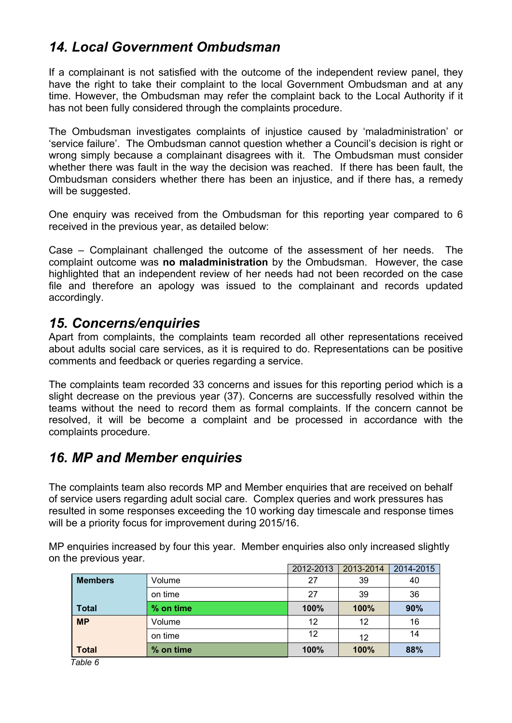# *14. Local Government Ombudsman*

If a complainant is not satisfied with the outcome of the independent review panel, they have the right to take their complaint to the local Government Ombudsman and at any time. However, the Ombudsman may refer the complaint back to the Local Authority if it has not been fully considered through the complaints procedure.

The Ombudsman investigates complaints of injustice caused by 'maladministration' or 'service failure'. The Ombudsman cannot question whether a Council's decision is right or wrong simply because a complainant disagrees with it. The Ombudsman must consider whether there was fault in the way the decision was reached. If there has been fault, the Ombudsman considers whether there has been an injustice, and if there has, a remedy will be suggested.

One enquiry was received from the Ombudsman for this reporting year compared to 6 received in the previous year, as detailed below:

Case – Complainant challenged the outcome of the assessment of her needs. The complaint outcome was **no maladministration** by the Ombudsman. However, the case highlighted that an independent review of her needs had not been recorded on the case file and therefore an apology was issued to the complainant and records updated accordingly.

### *15. Concerns/enquiries*

Apart from complaints, the complaints team recorded all other representations received about adults social care services, as it is required to do. Representations can be positive comments and feedback or queries regarding a service.

The complaints team recorded 33 concerns and issues for this reporting period which is a slight decrease on the previous year (37). Concerns are successfully resolved within the teams without the need to record them as formal complaints. If the concern cannot be resolved, it will be become a complaint and be processed in accordance with the complaints procedure.

### *16. MP and Member enquiries*

The complaints team also records MP and Member enquiries that are received on behalf of service users regarding adult social care. Complex queries and work pressures has resulted in some responses exceeding the 10 working day timescale and response times will be a priority focus for improvement during 2015/16.

MP enquiries increased by four this year. Member enquiries also only increased slightly on the previous year.

|                |           | 2012-2013 | 2013-2014 | 2014-2015 |
|----------------|-----------|-----------|-----------|-----------|
| <b>Members</b> | Volume    | 27        | 39        | 40        |
|                | on time   | 27        | 39        | 36        |
| <b>Total</b>   | % on time | 100%      | 100%      | 90%       |
| <b>MP</b>      | Volume    | 12        | 12        | 16        |
|                | on time   | 12        | 12        | 14        |
| <b>Total</b>   | % on time | 100%      | 100%      | 88%       |

 *Table 6*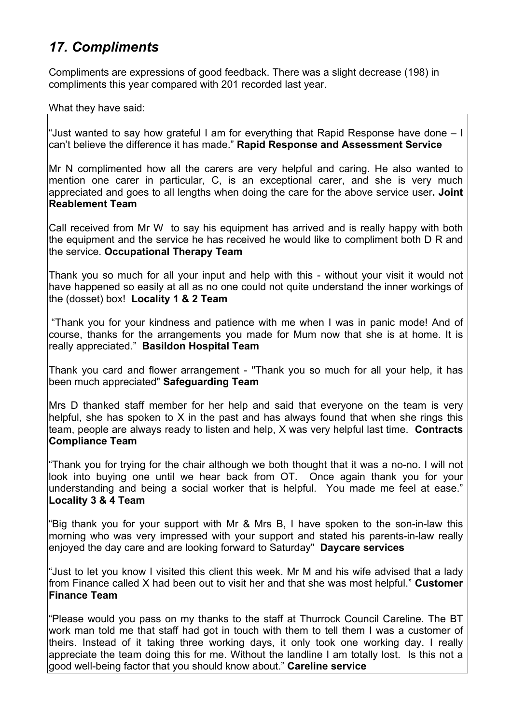# *17. Compliments*

Compliments are expressions of good feedback. There was a slight decrease (198) in compliments this year compared with 201 recorded last year.

What they have said:

"Just wanted to say how grateful I am for everything that Rapid Response have done – I can't believe the difference it has made." **Rapid Response and Assessment Service**

Mr N complimented how all the carers are very helpful and caring. He also wanted to mention one carer in particular, C, is an exceptional carer, and she is very much appreciated and goes to all lengths when doing the care for the above service user**. Joint Reablement Team**

Call received from Mr W to say his equipment has arrived and is really happy with both the equipment and the service he has received he would like to compliment both D R and the service. **Occupational Therapy Team**

Thank you so much for all your input and help with this - without your visit it would not have happened so easily at all as no one could not quite understand the inner workings of the (dosset) box! **Locality 1 & 2 Team**

"Thank you for your kindness and patience with me when I was in panic mode! And of course, thanks for the arrangements you made for Mum now that she is at home. It is really appreciated." **Basildon Hospital Team**

Thank you card and flower arrangement - "Thank you so much for all your help, it has been much appreciated" **Safeguarding Team**

Mrs D thanked staff member for her help and said that everyone on the team is very helpful, she has spoken to X in the past and has always found that when she rings this team, people are always ready to listen and help, X was very helpful last time. **Contracts Compliance Team**

"Thank you for trying for the chair although we both thought that it was a no-no. I will not look into buying one until we hear back from OT. Once again thank you for your understanding and being a social worker that is helpful. You made me feel at ease." **Locality 3 & 4 Team**

"Big thank you for your support with Mr & Mrs B, I have spoken to the son-in-law this morning who was very impressed with your support and stated his parents-in-law really enjoyed the day care and are looking forward to Saturday" **Daycare services**

"Just to let you know I visited this client this week. Mr M and his wife advised that a lady from Finance called X had been out to visit her and that she was most helpful." **Customer Finance Team**

"Please would you pass on my thanks to the staff at Thurrock Council Careline. The BT work man told me that staff had got in touch with them to tell them I was a customer of theirs. Instead of it taking three working days, it only took one working day. I really appreciate the team doing this for me. Without the landline I am totally lost. Is this not a good well-being factor that you should know about." **Careline service**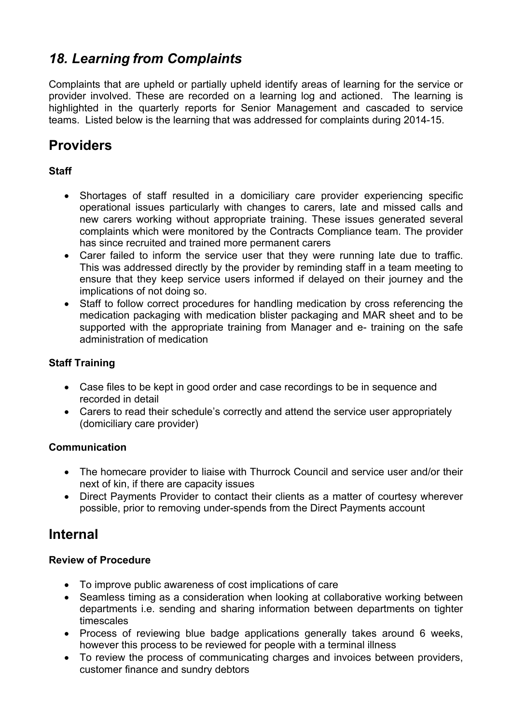# *18. Learning from Complaints*

Complaints that are upheld or partially upheld identify areas of learning for the service or provider involved. These are recorded on a learning log and actioned. The learning is highlighted in the quarterly reports for Senior Management and cascaded to service teams. Listed below is the learning that was addressed for complaints during 2014-15.

# **Providers**

#### **Staff**

- Shortages of staff resulted in a domiciliary care provider experiencing specific operational issues particularly with changes to carers, late and missed calls and new carers working without appropriate training. These issues generated several complaints which were monitored by the Contracts Compliance team. The provider has since recruited and trained more permanent carers
- Carer failed to inform the service user that they were running late due to traffic. This was addressed directly by the provider by reminding staff in a team meeting to ensure that they keep service users informed if delayed on their journey and the implications of not doing so.
- Staff to follow correct procedures for handling medication by cross referencing the medication packaging with medication blister packaging and MAR sheet and to be supported with the appropriate training from Manager and e- training on the safe administration of medication

#### **Staff Training**

- Case files to be kept in good order and case recordings to be in sequence and recorded in detail
- Carers to read their schedule's correctly and attend the service user appropriately (domiciliary care provider)

#### **Communication**

- The homecare provider to liaise with Thurrock Council and service user and/or their next of kin, if there are capacity issues
- Direct Payments Provider to contact their clients as a matter of courtesy wherever possible, prior to removing under-spends from the Direct Payments account

### **Internal**

#### **Review of Procedure**

- To improve public awareness of cost implications of care
- Seamless timing as a consideration when looking at collaborative working between departments i.e. sending and sharing information between departments on tighter timescales
- Process of reviewing blue badge applications generally takes around 6 weeks, however this process to be reviewed for people with a terminal illness
- To review the process of communicating charges and invoices between providers, customer finance and sundry debtors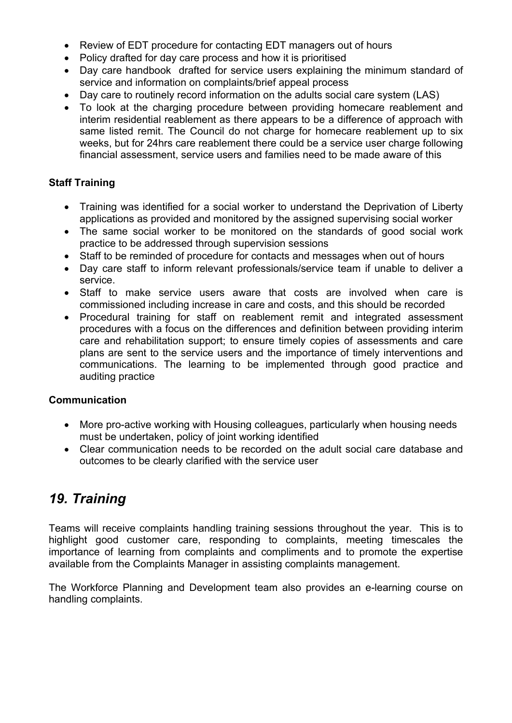- Review of EDT procedure for contacting EDT managers out of hours
- Policy drafted for day care process and how it is prioritised
- Day care handbook drafted for service users explaining the minimum standard of service and information on complaints/brief appeal process
- Day care to routinely record information on the adults social care system (LAS)
- To look at the charging procedure between providing homecare reablement and interim residential reablement as there appears to be a difference of approach with same listed remit. The Council do not charge for homecare reablement up to six weeks, but for 24hrs care reablement there could be a service user charge following financial assessment, service users and families need to be made aware of this

#### **Staff Training**

- Training was identified for a social worker to understand the Deprivation of Liberty applications as provided and monitored by the assigned supervising social worker
- The same social worker to be monitored on the standards of good social work practice to be addressed through supervision sessions
- Staff to be reminded of procedure for contacts and messages when out of hours
- Day care staff to inform relevant professionals/service team if unable to deliver a service.
- Staff to make service users aware that costs are involved when care is commissioned including increase in care and costs, and this should be recorded
- Procedural training for staff on reablement remit and integrated assessment procedures with a focus on the differences and definition between providing interim care and rehabilitation support; to ensure timely copies of assessments and care plans are sent to the service users and the importance of timely interventions and communications. The learning to be implemented through good practice and auditing practice

#### **Communication**

- More pro-active working with Housing colleagues, particularly when housing needs must be undertaken, policy of joint working identified
- Clear communication needs to be recorded on the adult social care database and outcomes to be clearly clarified with the service user

# *19. Training*

Teams will receive complaints handling training sessions throughout the year. This is to highlight good customer care, responding to complaints, meeting timescales the importance of learning from complaints and compliments and to promote the expertise available from the Complaints Manager in assisting complaints management.

The Workforce Planning and Development team also provides an e-learning course on handling complaints.